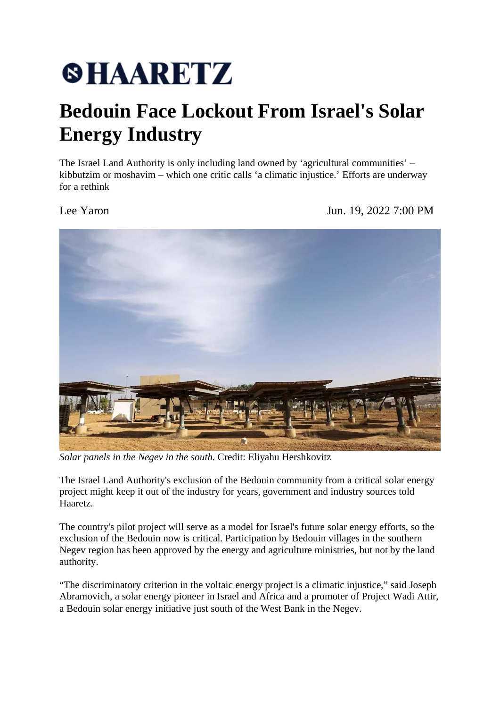## SHAARETZ

## **Bedouin Face Lockout From Israel's Solar Energy Industry**

The Israel Land Authority is only including land owned by 'agricultural communities' – kibbutzim or moshavim – which one critic calls 'a climatic injustice.' Efforts are underway for a rethink

Lee Yaron Jun. 19, 2022 7:00 PM



*Solar panels in the Negev in the south.* Credit: Eliyahu Hershkovitz

The Israel Land Authority's exclusion of the Bedouin community from a critical solar energy project might keep it out of the industry for years, government and industry sources told Haaretz.

The country's pilot project will serve as a model for Israel's future solar energy efforts, so the exclusion of the Bedouin now is critical. Participation by Bedouin villages in the southern Negev region has been approved by the energy and agriculture ministries, but not by the land authority.

"The discriminatory criterion in the voltaic energy project is a climatic injustice," said Joseph Abramovich, a solar energy pioneer in Israel and Africa and a promoter of Project Wadi Attir, a Bedouin solar energy initiative just south of the West Bank in the Negev.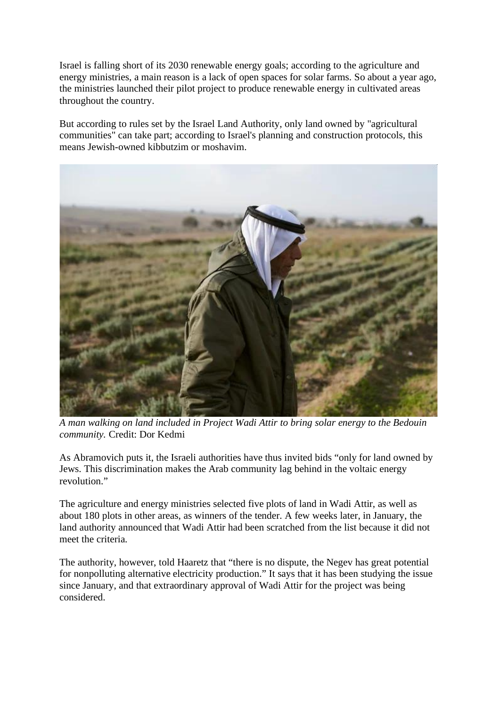Israel is falling short of its 2030 renewable energy goals; according to the agriculture and energy ministries, a main reason is a lack of open spaces for solar farms. So about a year ago, the ministries launched their pilot project to produce renewable energy in cultivated areas throughout the country.

But according to rules set by the Israel Land Authority, only land owned by "agricultural communities" can take part; according to Israel's planning and construction protocols, this means Jewish-owned kibbutzim or moshavim.



*A man walking on land included in Project Wadi Attir to bring solar energy to the Bedouin community.* Credit: Dor Kedmi

As Abramovich puts it, the Israeli authorities have thus invited bids "only for land owned by Jews. This discrimination makes the Arab community lag behind in the voltaic energy revolution."

The agriculture and energy ministries selected five plots of land in Wadi Attir, as well as about 180 plots in other areas, as winners of the tender. A few weeks later, in January, the land authority announced that Wadi Attir had been scratched from the list because it did not meet the criteria.

The authority, however, told Haaretz that "there is no dispute, the Negev has great potential for nonpolluting alternative electricity production." It says that it has been studying the issue since January, and that extraordinary approval of Wadi Attir for the project was being considered.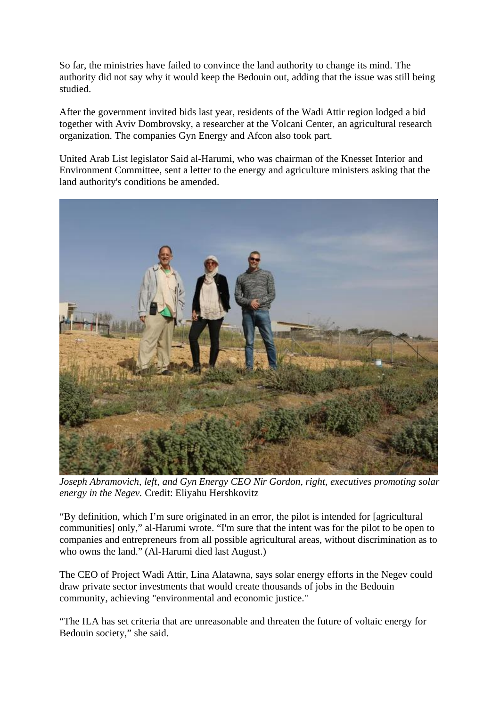So far, the ministries have failed to convince the land authority to change its mind. The authority did not say why it would keep the Bedouin out, adding that the issue was still being studied.

After the government invited bids last year, residents of the Wadi Attir region lodged a bid together with Aviv Dombrovsky, a researcher at the Volcani Center, an agricultural research organization. The companies Gyn Energy and Afcon also took part.

United Arab List legislator Said al-Harumi, who was chairman of the Knesset Interior and Environment Committee, sent a letter to the energy and agriculture ministers asking that the land authority's conditions be amended.



*Joseph Abramovich, left, and Gyn Energy CEO Nir Gordon, right, executives promoting solar energy in the Negev.* Credit: Eliyahu Hershkovitz

"By definition, which I'm sure originated in an error, the pilot is intended for [agricultural communities] only," al-Harumi wrote. "I'm sure that the intent was for the pilot to be open to companies and entrepreneurs from all possible agricultural areas, without discrimination as to who owns the land." (Al-Harumi died last August.)

The CEO of Project Wadi Attir, Lina Alatawna, says solar energy efforts in the Negev could draw private sector investments that would create thousands of jobs in the Bedouin community, achieving "environmental and economic justice."

"The ILA has set criteria that are unreasonable and threaten the future of voltaic energy for Bedouin society," she said.